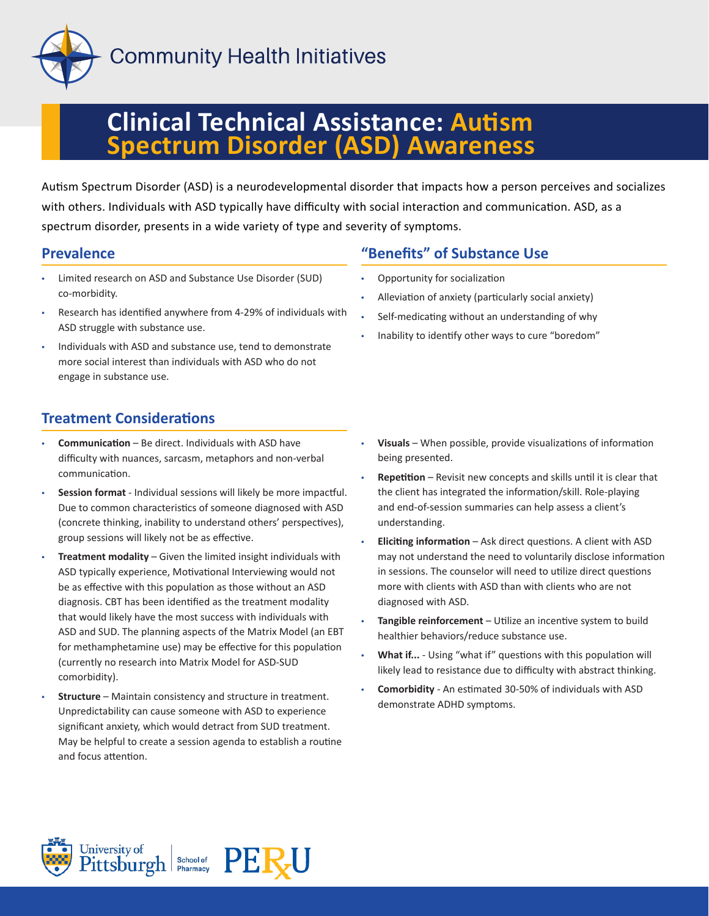

# **Clinical Technical Assistance: Autism Spectrum Disorder (ASD) Awareness**

Autism Spectrum Disorder (ASD) is a neurodevelopmental disorder that impacts how a person perceives and socializes with others. Individuals with ASD typically have difficulty with social interaction and communication. ASD, as a spectrum disorder, presents in a wide variety of type and severity of symptoms.

#### **Prevalence**

- Limited research on ASD and Substance Use Disorder (SUD) co-morbidity.
- Research has identified anywhere from 4-29% of individuals with ASD struggle with substance use.
- Individuals with ASD and substance use, tend to demonstrate more social interest than individuals with ASD who do not engage in substance use.

#### **"Benefits" of Substance Use**

- Opportunity for socialization
- Alleviation of anxiety (particularly social anxiety)
- Self-medicating without an understanding of why
- Inability to identify other ways to cure "boredom"

### **Treatment Considerations**

- **Communication** Be direct. Individuals with ASD have difficulty with nuances, sarcasm, metaphors and non-verbal communication.
- **Session format** Individual sessions will likely be more impactful. Due to common characteristics of someone diagnosed with ASD (concrete thinking, inability to understand others' perspectives), group sessions will likely not be as effective.
- **Treatment modality** Given the limited insight individuals with ASD typically experience, Motivational Interviewing would not be as effective with this population as those without an ASD diagnosis. CBT has been identified as the treatment modality that would likely have the most success with individuals with ASD and SUD. The planning aspects of the Matrix Model (an EBT for methamphetamine use) may be effective for this population (currently no research into Matrix Model for ASD-SUD comorbidity).
- **Structure** Maintain consistency and structure in treatment. Unpredictability can cause someone with ASD to experience significant anxiety, which would detract from SUD treatment. May be helpful to create a session agenda to establish a routine and focus attention.
- **Visuals** When possible, provide visualizations of information being presented.
- **Repetition** Revisit new concepts and skills until it is clear that the client has integrated the information/skill. Role-playing and end-of-session summaries can help assess a client's understanding.
- **Eliciting information** Ask direct questions. A client with ASD may not understand the need to voluntarily disclose information in sessions. The counselor will need to utilize direct questions more with clients with ASD than with clients who are not diagnosed with ASD.
- **Tangible reinforcement**  Utilize an incentive system to build healthier behaviors/reduce substance use.
- **What if...** Using "what if" questions with this population will likely lead to resistance due to difficulty with abstract thinking.
- **Comorbidity** An estimated 30-50% of individuals with ASD demonstrate ADHD symptoms.